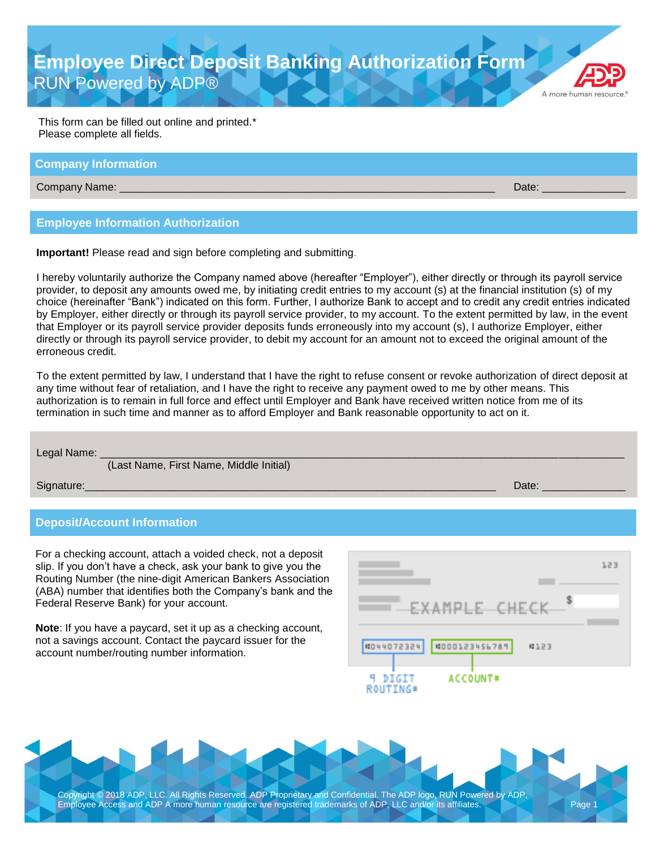**Employee Direct Deposit Banking Authorization Form** RUN Powered by ADP®

A more human resource

This form can be filled out online and printed.\* Please complete all fields.

### **Company Information**

Company Name: \_\_\_\_\_\_\_\_\_\_\_\_\_\_\_\_\_\_\_\_\_\_\_\_\_\_\_\_\_\_\_\_\_\_\_\_\_\_\_\_\_\_\_\_\_\_\_\_\_\_\_\_\_\_\_\_\_\_\_\_\_\_\_ Date: \_\_\_\_\_\_\_\_\_\_\_\_\_\_

## **Employee Information Authorization**

**Important!** Please read and sign before completing and submitting.

I hereby voluntarily authorize the Company named above (hereafter "Employer"), either directly or through its payroll service provider, to deposit any amounts owed me, by initiating credit entries to my account (s) at the financial institution (s) of my choice (hereinafter "Bank") indicated on this form. Further, I authorize Bank to accept and to credit any credit entries indicated by Employer, either directly or through its payroll service provider, to my account. To the extent permitted by law, in the event that Employer or its payroll service provider deposits funds erroneously into my account (s), I authorize Employer, either directly or through its payroll service provider, to debit my account for an amount not to exceed the original amount of the erroneous credit.

To the extent permitted by law, I understand that I have the right to refuse consent or revoke authorization of direct deposit at any time without fear of retaliation, and I have the right to receive any payment owed to me by other means. This authorization is to remain in full force and effect until Employer and Bank have received written notice from me of its termination in such time and manner as to afford Employer and Bank reasonable opportunity to act on it.

| Legal Name: | (Last Name, First Name, Middle Initial) |       |
|-------------|-----------------------------------------|-------|
| Signature:  |                                         | Date: |

### **Deposit/Account Information**

For a checking account, attach a voided check, not a deposit slip. If you don't have a check, ask your bank to give you the Routing Number (the nine-digit American Bankers Association (ABA) number that identifies both the Company's bank and the Federal Reserve Bank) for your account.

**Note**: If you have a paycard, set it up as a checking account, not a savings account. Contact the paycard issuer for the account number/routing number information.